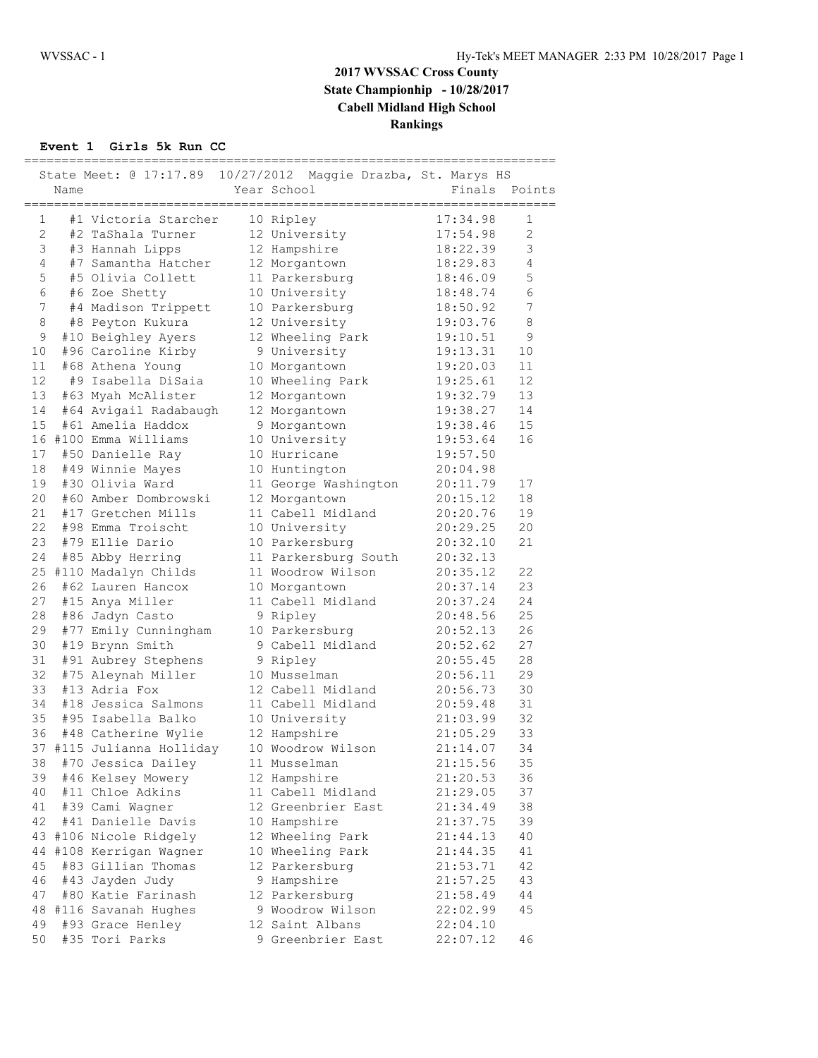## **2017 WVSSAC Cross County State Championhip - 10/28/2017 Cabell Midland High School Rankings**

### **Event 1 Girls 5k Run CC**

| State Meet: @ 17:17.89 10/27/2012 Maggie Drazba, St. Marys HS |      |                                           |  |                                    |                      |               |  |
|---------------------------------------------------------------|------|-------------------------------------------|--|------------------------------------|----------------------|---------------|--|
|                                                               | Name |                                           |  | Year School                        |                      | Finals Points |  |
|                                                               |      |                                           |  |                                    | ===================  |               |  |
| $\mathbf{1}$                                                  |      | #1 Victoria Starcher                      |  | 10 Ripley                          | 17:34.98             | 1             |  |
| $\overline{2}$                                                |      | #2 TaShala Turner                         |  | 12 University                      | 17:54.98             | 2             |  |
| 3                                                             |      | #3 Hannah Lipps                           |  | 12 Hampshire                       | 18:22.39             | 3             |  |
| 4                                                             |      | #7 Samantha Hatcher                       |  | 12 Morgantown                      | 18:29.83             | 4             |  |
| 5                                                             |      | #5 Olivia Collett                         |  | 11 Parkersburg                     | 18:46.09             | 5             |  |
| 6                                                             |      | #6 Zoe Shetty                             |  | 10 University                      | 18:48.74             | 6             |  |
| $\boldsymbol{7}$                                              |      | #4 Madison Trippett                       |  | 10 Parkersburg                     | 18:50.92             | 7             |  |
| 8                                                             |      | #8 Peyton Kukura                          |  | 12 University                      | 19:03.76             | $\,8\,$       |  |
| 9                                                             |      | #10 Beighley Ayers                        |  | 12 Wheeling Park                   | 19:10.51             | $\mathcal{G}$ |  |
| 10                                                            |      | #96 Caroline Kirby                        |  | 9 University                       | 19:13.31             | 10            |  |
| 11                                                            |      | #68 Athena Young                          |  | 10 Morgantown                      | 19:20.03             | 11            |  |
| 12                                                            |      | #9 Isabella DiSaia                        |  | 10 Wheeling Park                   | 19:25.61             | 12            |  |
| 13                                                            |      | #63 Myah McAlister                        |  | 12 Morgantown                      | 19:32.79             | 13            |  |
| 14                                                            |      | #64 Avigail Radabaugh                     |  | 12 Morgantown                      | 19:38.27             | 14            |  |
| 15                                                            |      | #61 Amelia Haddox                         |  | 9 Morgantown                       | 19:38.46             | 15            |  |
|                                                               |      | 16 #100 Emma Williams                     |  | 10 University                      | 19:53.64             | 16            |  |
| 17                                                            |      | #50 Danielle Ray                          |  | 10 Hurricane                       | 19:57.50             |               |  |
| 18                                                            |      | #49 Winnie Mayes                          |  | 10 Huntington                      | 20:04.98             |               |  |
| 19                                                            |      | #30 Olivia Ward                           |  | 11 George Washington               | 20:11.79             | 17            |  |
| 20                                                            |      | #60 Amber Dombrowski                      |  | 12 Morgantown                      | 20:15.12             | 18            |  |
| 21<br>22                                                      |      | #17 Gretchen Mills                        |  | 11 Cabell Midland                  | 20:20.76             | 19            |  |
|                                                               |      | #98 Emma Troischt                         |  | 10 University                      | 20:29.25             | 20            |  |
| 23                                                            |      | #79 Ellie Dario                           |  | 10 Parkersburg                     | 20:32.10             | 21            |  |
| 24                                                            |      | #85 Abby Herring                          |  | 11 Parkersburg South               | 20:32.13             | 22            |  |
|                                                               |      | 25 #110 Madalyn Childs                    |  | 11 Woodrow Wilson                  | 20:35.12             | 23            |  |
| 26<br>27                                                      |      | #62 Lauren Hancox                         |  | 10 Morgantown                      | 20:37.14             | 24            |  |
| 28                                                            |      | #15 Anya Miller                           |  | 11 Cabell Midland                  | 20:37.24<br>20:48.56 | 25            |  |
| 29                                                            |      | #86 Jadyn Casto                           |  | 9 Ripley                           |                      | 26            |  |
| 30                                                            |      | #77 Emily Cunningham<br>#19 Brynn Smith   |  | 10 Parkersburg<br>9 Cabell Midland | 20:52.13<br>20:52.62 | 27            |  |
| 31                                                            |      |                                           |  |                                    | 20:55.45             | 28            |  |
| 32                                                            |      | #91 Aubrey Stephens<br>#75 Aleynah Miller |  | 9 Ripley<br>10 Musselman           | 20:56.11             | 29            |  |
| 33                                                            |      | #13 Adria Fox                             |  | 12 Cabell Midland                  | 20:56.73             | 30            |  |
| 34                                                            |      | #18 Jessica Salmons                       |  | 11 Cabell Midland                  | 20:59.48             | 31            |  |
| 35                                                            |      | #95 Isabella Balko                        |  | 10 University                      | 21:03.99             | 32            |  |
| 36                                                            |      | #48 Catherine Wylie                       |  | 12 Hampshire                       | 21:05.29             | 33            |  |
| 37                                                            |      | #115 Julianna Holliday                    |  | 10 Woodrow Wilson                  | 21:14.07             | 34            |  |
| 38                                                            |      | #70 Jessica Dailey                        |  | 11 Musselman                       | 21:15.56             | 35            |  |
| 39                                                            |      | #46 Kelsey Mowery                         |  | 12 Hampshire                       | 21:20.53             | 36            |  |
| 40                                                            |      | #11 Chloe Adkins                          |  | 11 Cabell Midland                  | 21:29.05             | 37            |  |
| 41                                                            |      | #39 Cami Wagner                           |  | 12 Greenbrier East                 | 21:34.49             | 38            |  |
| 42                                                            |      | #41 Danielle Davis                        |  | 10 Hampshire                       | 21:37.75             | 39            |  |
| 43                                                            |      | #106 Nicole Ridgely                       |  | 12 Wheeling Park                   | 21:44.13             | 40            |  |
| 44                                                            |      | #108 Kerrigan Wagner                      |  | 10 Wheeling Park                   | 21:44.35             | 41            |  |
| 45                                                            |      | #83 Gillian Thomas                        |  | 12 Parkersburg                     | 21:53.71             | 42            |  |
| 46                                                            |      | #43 Jayden Judy                           |  | 9 Hampshire                        | 21:57.25             | 43            |  |
| 47                                                            |      | #80 Katie Farinash                        |  | 12 Parkersburg                     | 21:58.49             | 44            |  |
| 48                                                            |      | #116 Savanah Hughes                       |  | 9 Woodrow Wilson                   | 22:02.99             | 45            |  |
| 49                                                            |      | #93 Grace Henley                          |  | 12 Saint Albans                    | 22:04.10             |               |  |
| 50                                                            |      | #35 Tori Parks                            |  | 9 Greenbrier East                  | 22:07.12             | 46            |  |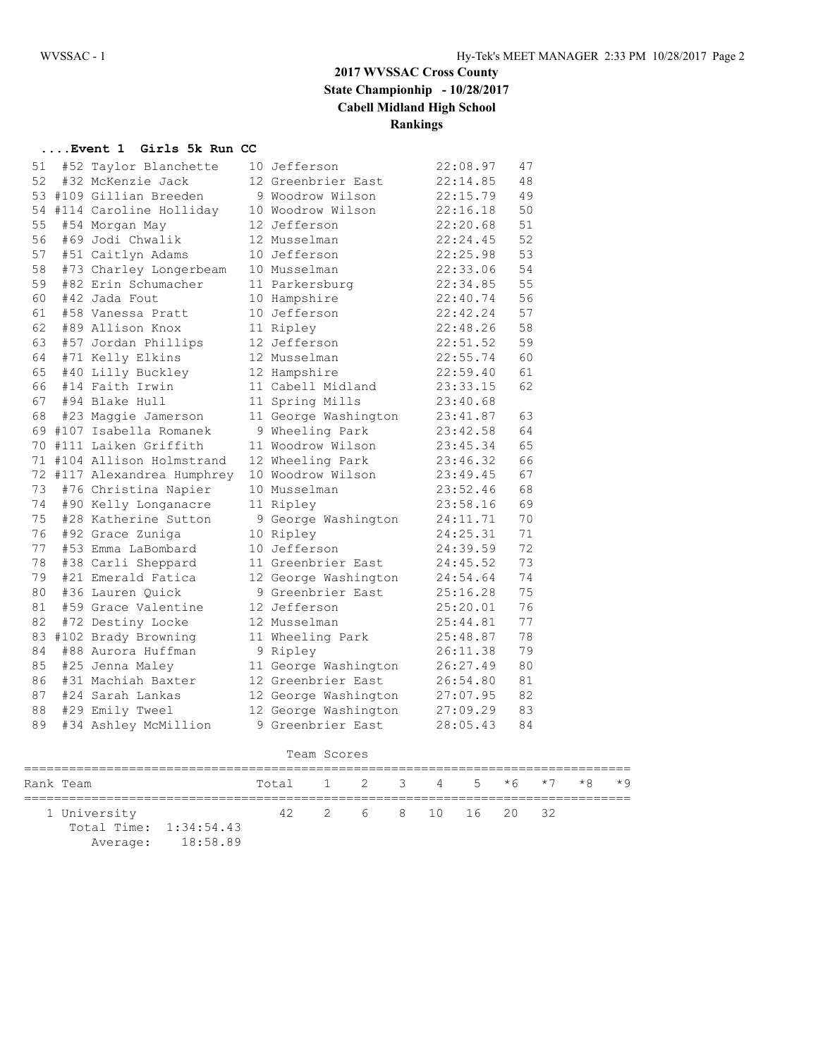## **2017 WVSSAC Cross County State Championhip - 10/28/2017 Cabell Midland High School Rankings**

### **....Event 1 Girls 5k Run CC**

| 51 | #52 Taylor Blanchette       | 10 Jefferson         | 22:08.97 | 47 |
|----|-----------------------------|----------------------|----------|----|
| 52 | #32 McKenzie Jack           | 12 Greenbrier East   | 22:14.85 | 48 |
|    | 53 #109 Gillian Breeden     | 9 Woodrow Wilson     | 22:15.79 | 49 |
| 54 | #114 Caroline Holliday      | 10 Woodrow Wilson    | 22:16.18 | 50 |
| 55 | #54 Morgan May              | 12 Jefferson         | 22:20.68 | 51 |
| 56 | #69 Jodi Chwalik            | 12 Musselman         | 22:24.45 | 52 |
| 57 | #51 Caitlyn Adams           | 10 Jefferson         | 22:25.98 | 53 |
| 58 | #73 Charley Longerbeam      | 10 Musselman         | 22:33.06 | 54 |
| 59 | #82 Erin Schumacher         | 11 Parkersburg       | 22:34.85 | 55 |
| 60 | #42 Jada Fout               | 10 Hampshire         | 22:40.74 | 56 |
| 61 | #58 Vanessa Pratt           | 10 Jefferson         | 22:42.24 | 57 |
| 62 | #89 Allison Knox            | 11 Ripley            | 22:48.26 | 58 |
| 63 | #57 Jordan Phillips         | 12 Jefferson         | 22:51.52 | 59 |
| 64 | #71 Kelly Elkins            | 12 Musselman         | 22:55.74 | 60 |
| 65 | #40 Lilly Buckley           | 12 Hampshire         | 22:59.40 | 61 |
| 66 | #14 Faith Irwin             | 11 Cabell Midland    | 23:33.15 | 62 |
| 67 | #94 Blake Hull              | 11 Spring Mills      | 23:40.68 |    |
| 68 | #23 Maggie Jamerson         | 11 George Washington | 23:41.87 | 63 |
|    | 69 #107 Isabella Romanek    | 9 Wheeling Park      | 23:42.58 | 64 |
|    | 70 #111 Laiken Griffith     | 11 Woodrow Wilson    | 23:45.34 | 65 |
|    | 71 #104 Allison Holmstrand  | 12 Wheeling Park     | 23:46.32 | 66 |
|    | 72 #117 Alexandrea Humphrey | 10 Woodrow Wilson    | 23:49.45 | 67 |
| 73 | #76 Christina Napier        | 10 Musselman         | 23:52.46 | 68 |
| 74 | #90 Kelly Longanacre        | 11 Ripley            | 23:58.16 | 69 |
| 75 | #28 Katherine Sutton        | 9 George Washington  | 24:11.71 | 70 |
| 76 | #92 Grace Zuniga            | 10 Ripley            | 24:25.31 | 71 |
| 77 | #53 Emma LaBombard          | 10 Jefferson         | 24:39.59 | 72 |
| 78 | #38 Carli Sheppard          | 11 Greenbrier East   | 24:45.52 | 73 |
| 79 | #21 Emerald Fatica          | 12 George Washington | 24:54.64 | 74 |
| 80 | #36 Lauren Ouick            | 9 Greenbrier East    | 25:16.28 | 75 |
| 81 | #59 Grace Valentine         | 12 Jefferson         | 25:20.01 | 76 |
| 82 | #72 Destiny Locke           | 12 Musselman         | 25:44.81 | 77 |
| 83 | #102 Brady Browning         | 11 Wheeling Park     | 25:48.87 | 78 |
| 84 | #88 Aurora Huffman          | 9 Ripley             | 26:11.38 | 79 |
| 85 | #25 Jenna Maley             | 11 George Washington | 26:27.49 | 80 |
| 86 | #31 Machiah Baxter          | 12 Greenbrier East   | 26:54.80 | 81 |
| 87 | #24 Sarah Lankas            | 12 George Washington | 27:07.95 | 82 |
| 88 | #29 Emily Tweel             | 12 George Washington | 27:09.29 | 83 |
| 89 | #34 Ashley McMillion        | 9 Greenbrier East    | 28:05.43 | 84 |

| Team Scores |                                        |                   |                             |  |                                    |  |  |  |  |  |  |
|-------------|----------------------------------------|-------------------|-----------------------------|--|------------------------------------|--|--|--|--|--|--|
|             | Rank Team                              |                   | Total 1 2 3 4 5 *6 *7 *8 *9 |  |                                    |  |  |  |  |  |  |
|             | 1 University<br>Total Time: 1:34:54.43 | Average: 18:58.89 |                             |  | 42   2   6   8   10   16   20   32 |  |  |  |  |  |  |